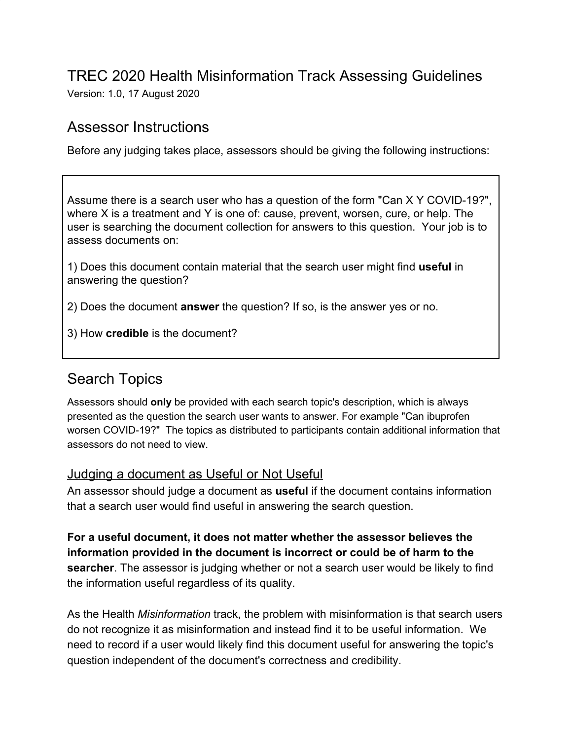# TREC 2020 Health Misinformation Track Assessing Guidelines

Version: 1.0, 17 August 2020

### Assessor Instructions

Before any judging takes place, assessors should be giving the following instructions:

Assume there is a search user who has a question of the form "Can X Y COVID-19?", where X is a treatment and Y is one of: cause, prevent, worsen, cure, or help. The user is searching the document collection for answers to this question. Your job is to assess documents on:

1) Does this document contain material that the search user might find **useful** in answering the question?

2) Does the document **answer** the question? If so, is the answer yes or no.

3) How **credible** is the document?

## Search Topics

Assessors should **only** be provided with each search topic's description, which is always presented as the question the search user wants to answer. For example "Can ibuprofen worsen COVID-19?" The topics as distributed to participants contain additional information that assessors do not need to view.

#### Judging a document as Useful or Not Useful

An assessor should judge a document as **useful** if the document contains information that a search user would find useful in answering the search question.

**For a useful document, it does not matter whether the assessor believes the information provided in the document is incorrect or could be of harm to the searcher**. The assessor is judging whether or not a search user would be likely to find the information useful regardless of its quality.

As the Health *Misinformation* track, the problem with misinformation is that search users do not recognize it as misinformation and instead find it to be useful information. We need to record if a user would likely find this document useful for answering the topic's question independent of the document's correctness and credibility.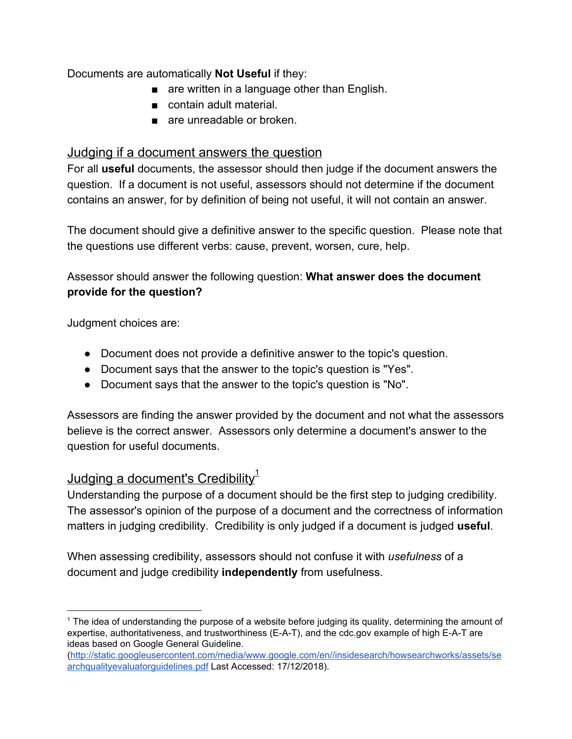Documents are automatically **Not Useful** if they:

- are written in a language other than English.
- contain adult material.
- are unreadable or broken.

### Judging if a document answers the question

For all **useful** documents, the assessor should then judge if the document answers the question. If a document is not useful, assessors should not determine if the document contains an answer, for by definition of being not useful, it will not contain an answer.

The document should give a definitive answer to the specific question. Please note that the questions use different verbs: cause, prevent, worsen, cure, help.

Assessor should answer the following question: **What answer does the document provide for the question?**

Judgment choices are:

- Document does not provide a definitive answer to the topic's question.
- Document says that the answer to the topic's question is "Yes".
- Document says that the answer to the topic's question is "No".

Assessors are finding the answer provided by the document and not what the assessors believe is the correct answer. Assessors only determine a document's answer to the question for useful documents.

### <u>Judging a document's Credibility $^{\rm 1}$ </u>

Understanding the purpose of a document should be the first step to judging credibility. The assessor's opinion of the purpose of a document and the correctness of information matters in judging credibility. Credibility is only judged if a document is judged **useful**.

When assessing credibility, assessors should not confuse it with *usefulness* of a document and judge credibility **independently** from usefulness.

<sup>&</sup>lt;sup>1</sup> The idea of understanding the purpose of a website before judging its quality, determining the amount of expertise, authoritativeness, and trustworthiness (E-A-T), and the cdc.gov example of high E-A-T are ideas based on Google General Guideline.

[<sup>\(</sup>http://static.googleusercontent.com/media/www.google.com/en//insidesearch/howsearchworks/assets/se](http://static.googleusercontent.com/media/www.google.com/en//insidesearch/howsearchworks/assets/searchqualityevaluatorguidelines.pdf) [archqualityevaluatorguidelines.pdf](http://static.googleusercontent.com/media/www.google.com/en//insidesearch/howsearchworks/assets/searchqualityevaluatorguidelines.pdf) Last Accessed: 17/12/2018).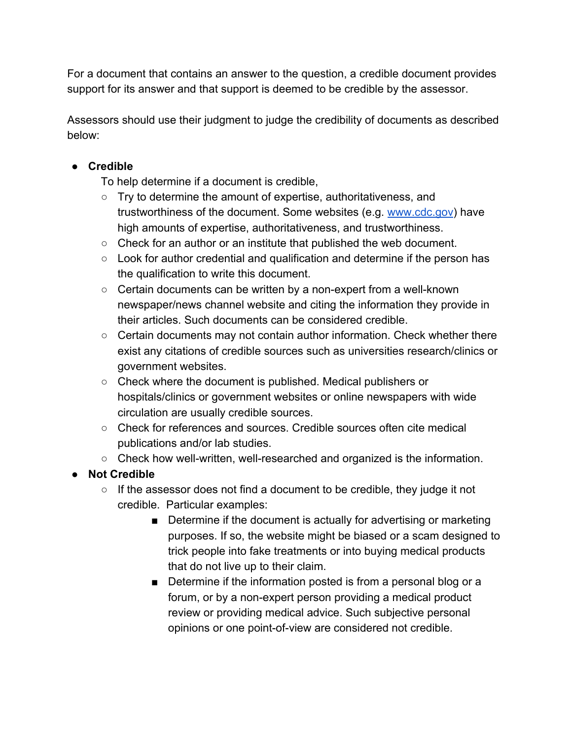For a document that contains an answer to the question, a credible document provides support for its answer and that support is deemed to be credible by the assessor.

Assessors should use their judgment to judge the credibility of documents as described below:

#### **● Credible**

To help determine if a document is credible,

- Try to determine the amount of expertise, authoritativeness, and trustworthiness of the document. Some websites (e.g. [www.cdc.gov](http://www.cdc.gov/)) have high amounts of expertise, authoritativeness, and trustworthiness.
- $\circ$  Check for an author or an institute that published the web document.
- Look for author credential and qualification and determine if the person has the qualification to write this document.
- Certain documents can be written by a non-expert from a well-known newspaper/news channel website and citing the information they provide in their articles. Such documents can be considered credible.
- Certain documents may not contain author information. Check whether there exist any citations of credible sources such as universities research/clinics or government websites.
- Check where the document is published. Medical publishers or hospitals/clinics or government websites or online newspapers with wide circulation are usually credible sources.
- $\circ$  Check for references and sources. Credible sources often cite medical publications and/or lab studies.
- Check how well-written, well-researched and organized is the information.
- **● Not Credible**
	- If the assessor does not find a document to be credible, they judge it not credible. Particular examples:
		- Determine if the document is actually for advertising or marketing purposes. If so, the website might be biased or a scam designed to trick people into fake treatments or into buying medical products that do not live up to their claim.
		- Determine if the information posted is from a personal blog or a forum, or by a non-expert person providing a medical product review or providing medical advice. Such subjective personal opinions or one point-of-view are considered not credible.